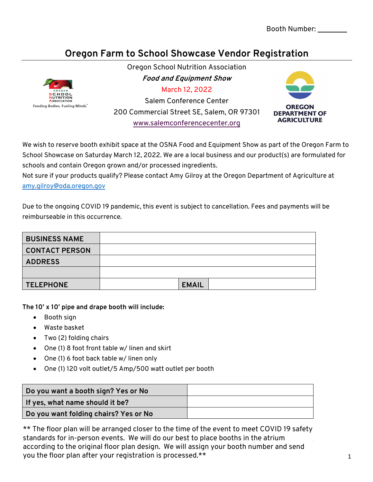## **Oregon Farm to School Showcase Vendor Registration**



Oregon School Nutrition Association **Food and Equipment Show** March 12, 2022 Salem Conference Center 200 Commercial Street SE, Salem, OR 97301 www.salemconferencecenter.org



We wish to reserve booth exhibit space at the OSNA Food and Equipment Show as part of the Oregon Farm to School Showcase on Saturday March 12, 2022. We are a local business and our product(s) are formulated for schools and contain Oregon grown and/or processed ingredients.

Not sure if your products qualify? Please contact Amy Gilroy at the Oregon Department of Agriculture at amy.gilroy@oda.oregon.gov

Due to the ongoing COVID 19 pandemic, this event is subject to cancellation. Fees and payments will be reimburseable in this occurrence.

| <b>BUSINESS NAME</b>  |              |
|-----------------------|--------------|
| <b>CONTACT PERSON</b> |              |
| <b>ADDRESS</b>        |              |
|                       |              |
| <b>TELEPHONE</b>      | <b>EMAIL</b> |
|                       |              |

**The 10' x 10' pipe and drape booth will include:** 

- Booth sign
- Waste basket
- Two (2) folding chairs
- One (1) 8 foot front table w/ linen and skirt
- One (1) 6 foot back table w/ linen only
- One (1) 120 volt outlet/5 Amp/500 watt outlet per booth

| Do you want a booth sign? Yes or No   |  |
|---------------------------------------|--|
| If yes, what name should it be?       |  |
| Do you want folding chairs? Yes or No |  |

\*\* The floor plan will be arranged closer to the time of the event to meet COVID 19 safety standards for in-person events. We will do our best to place booths in the atrium according to the original floor plan design. We will assign your booth number and send you the floor plan after your registration is processed.\*\*